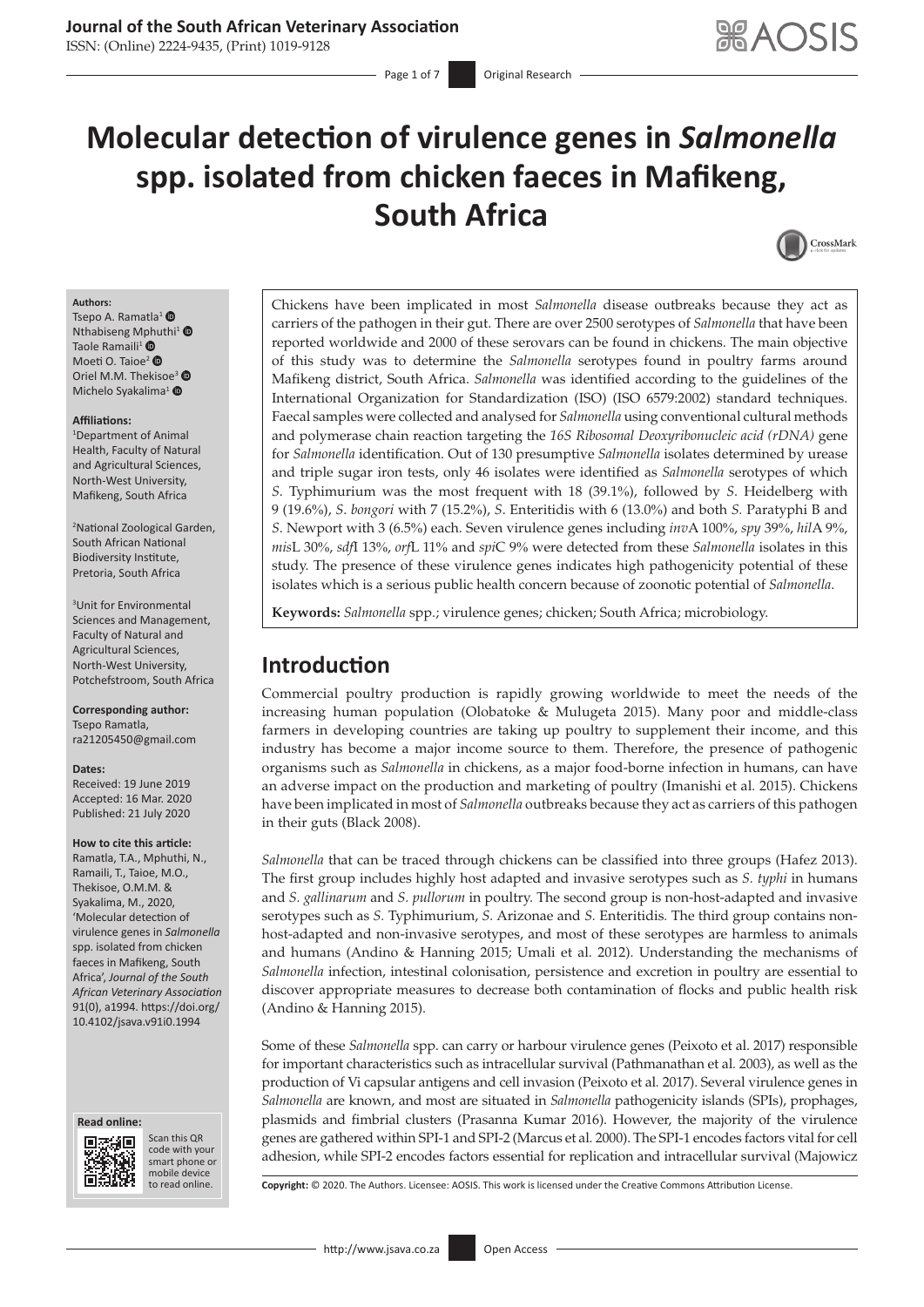# **Journal of the South African Veterinary Association**

ISSN: (Online) 2224-9435, (Print) 1019-9128

# **Molecular detection of virulence genes in** *Salmonella* **spp. isolated from chicken faeces in Mafikeng, South Africa**



#### **Authors:**

Tsepo A. Ramatla<sup>1</sup> <sup>O</sup> Nthabiseng [Mphu](https://orcid.org/0000-0002-8025-0979)thi<sup>[1](https://orcid.org/0000-0001-6956-4152)</sup> Taole Ramaili<sup>1</sup> $\bullet$ Moeti O. Taioe<sup>[2](https://orcid.org/0000-0002-2905-4104)</sup> Oriel M.M. Thekisoe<sup>[3](https://orcid.org/0000-0003-0700-4787)</sup> Michelo Syakalima<sup>[1](https://orcid.org/0000-0002-0649-5409)</sup> O

#### **Affiliations:**

1 Department of Animal Health, Faculty of Natural and Agricultural Sciences, North-West University, Mafikeng, South Africa

2 National Zoological Garden, South African National Biodiversity Institute, Pretoria, South Africa

3 Unit for Environmental Sciences and Management, Faculty of Natural and Agricultural Sciences, North-West University, Potchefstroom, South Africa

**Corresponding author:** Tsepo Ramatla, [ra21205450@gmail.com](mailto:ra21205450@gmail.com)

#### **Dates:**

Received: 19 June 2019 Accepted: 16 Mar. 2020 Published: 21 July 2020

#### **How to cite this article:**

Ramatla, T.A., Mphuthi, N., Ramaili, T., Taioe, M.O., Thekisoe, O.M.M. & Syakalima, M., 2020, 'Molecular detection of virulence genes in *Salmonella* spp. isolated from chicken faeces in Mafikeng, South Africa', *Journal of the South African Veterinary Association* 91(0), a1994. [https://doi.org/](https://doi.org/10.4102/jsava.v91i0.1994) [10.4102/jsava.v91i0.1994](https://doi.org/10.4102/jsava.v91i0.1994)





Scan this QR code with your Scan this QR<br>code with your<br>smart phone or<br>mobile device mobile device to read online.

Chickens have been implicated in most *Salmonella* disease outbreaks because they act as carriers of the pathogen in their gut. There are over 2500 serotypes of *Salmonella* that have been reported worldwide and 2000 of these serovars can be found in chickens. The main objective of this study was to determine the *Salmonella* serotypes found in poultry farms around Mafikeng district, South Africa. *Salmonella* was identified according to the guidelines of the International Organization for Standardization (ISO) (ISO 6579:2002) standard techniques. Faecal samples were collected and analysed for *Salmonella* using conventional cultural methods and polymerase chain reaction targeting the *16S Ribosomal Deoxyribonucleic acid (rDNA)* gene for *Salmonella* identification. Out of 130 presumptive *Salmonella* isolates determined by urease and triple sugar iron tests, only 46 isolates were identified as *Salmonella* serotypes of which *S*. Typhimurium was the most frequent with 18 (39.1%), followed by *S*. Heidelberg with 9 (19.6%), *S*. *bongori* with 7 (15.2%), *S*. Enteritidis with 6 (13.0%) and both *S.* Paratyphi B and *S*. Newport with 3 (6.5%) each. Seven virulence genes including *inv*A 100%, *spy* 39%, *hil*A 9%, *mis*L 30%, *sdf*I 13%, *orf*L 11% and *spi*C 9% were detected from these *Salmonella* isolates in this study. The presence of these virulence genes indicates high pathogenicity potential of these isolates which is a serious public health concern because of zoonotic potential of *Salmonella*.

**Keywords:** *Salmonella* spp.; virulence genes; chicken; South Africa; microbiology.

# **Introduction**

Commercial poultry production is rapidly growing worldwide to meet the needs of the increasing human population (Olobatoke & Mulugeta 2015). Many poor and middle-class farmers in developing countries are taking up poultry to supplement their income, and this industry has become a major income source to them. Therefore, the presence of pathogenic organisms such as *Salmonella* in chickens, as a major food-borne infection in humans, can have an adverse impact on the production and marketing of poultry (Imanishi et al*.* 2015). Chickens have been implicated in most of *Salmonella* outbreaks because they act as carriers of this pathogen in their guts (Black 2008).

*Salmonella* that can be traced through chickens can be classified into three groups (Hafez 2013). The first group includes highly host adapted and invasive serotypes such as *S. typhi* in humans and *S. gallinarum* and *S. pullorum* in poultry. The second group is non-host-adapted and invasive serotypes such as *S.* Typhimurium, *S.* Arizonae and *S.* Enteritidis*.* The third group contains nonhost-adapted and non-invasive serotypes, and most of these serotypes are harmless to animals and humans (Andino & Hanning 2015; Umali et al. 2012). Understanding the mechanisms of *Salmonella* infection, intestinal colonisation, persistence and excretion in poultry are essential to discover appropriate measures to decrease both contamination of flocks and public health risk (Andino & Hanning 2015).

Some of these *Salmonella* spp. can carry or harbour virulence genes (Peixoto et al. 2017) responsible for important characteristics such as intracellular survival (Pathmanathan et al*.* 2003), as well as the production of Vi capsular antigens and cell invasion (Peixoto et al*.* 2017). Several virulence genes in *Salmonella* are known, and most are situated in *Salmonella* pathogenicity islands (SPIs), prophages, plasmids and fimbrial clusters (Prasanna Kumar 2016). However, the majority of the virulence genes are gathered within SPI-1 and SPI-2 (Marcus et al*.* 2000). The SPI-1 encodes factors vital for cell adhesion, while SPI-2 encodes factors essential for replication and intracellular survival (Majowicz

Copyright: © 2020. The Authors. Licensee: AOSIS. This work is licensed under the Creative Commons Attribution License.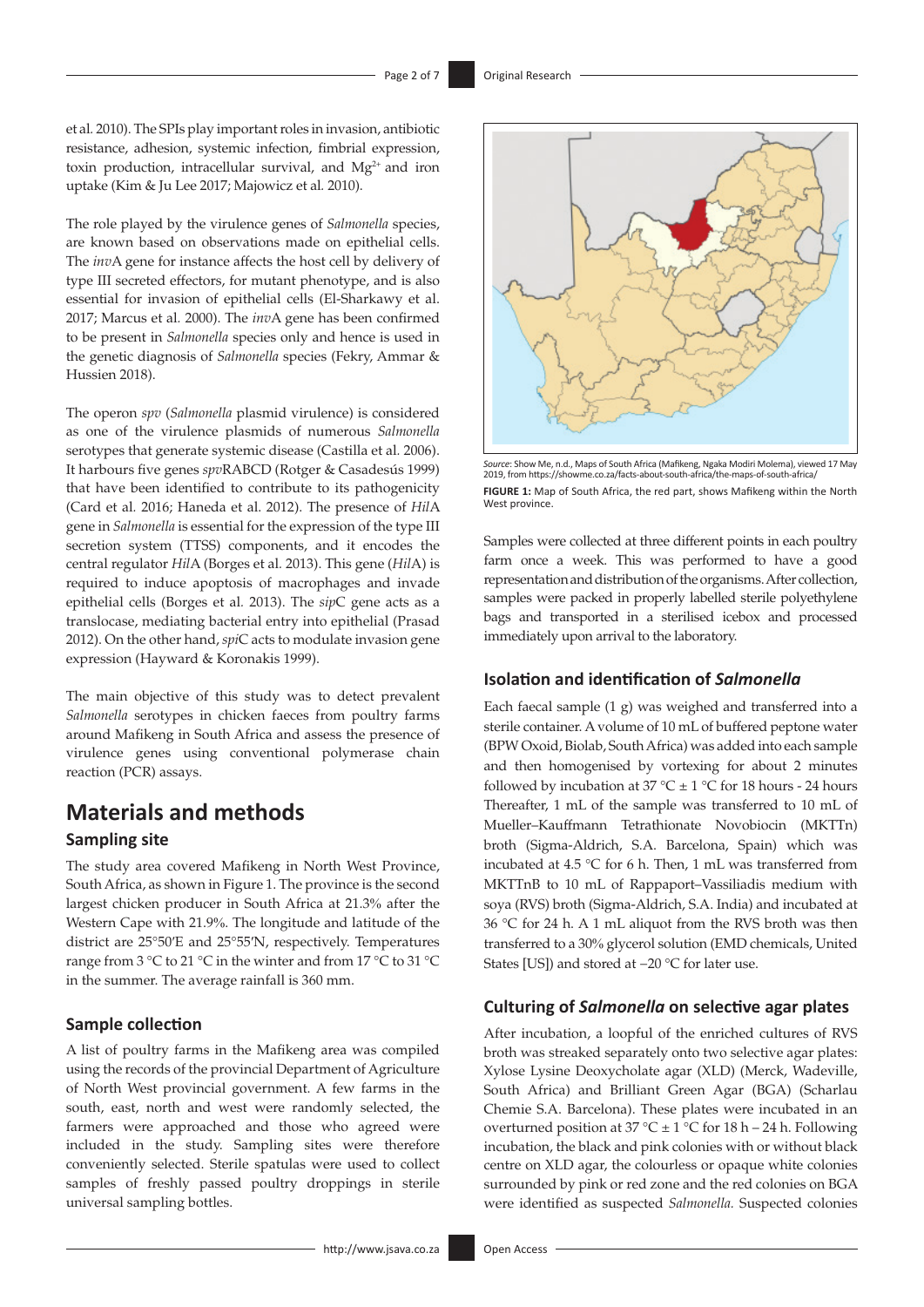et al*.* 2010). The SPIs play important roles in invasion, antibiotic resistance, adhesion, systemic infection, fimbrial expression, toxin production, intracellular survival, and  $Mg^{2+}$  and iron uptake (Kim & Ju Lee 2017; Majowicz et al*.* 2010).

The role played by the virulence genes of *Salmonella* species, are known based on observations made on epithelial cells. The *inv*A gene for instance affects the host cell by delivery of type III secreted effectors, for mutant phenotype, and is also essential for invasion of epithelial cells (El-Sharkawy et al. 2017; Marcus et al*.* 2000). The *inv*A gene has been confirmed to be present in *Salmonella* species only and hence is used in the genetic diagnosis of *Salmonella* species (Fekry, Ammar & Hussien 2018).

The operon *spv* (*Salmonella* plasmid virulence) is considered as one of the virulence plasmids of numerous *Salmonella*  serotypes that generate systemic disease (Castilla et al*.* 2006). It harbours five genes *spv*RABCD (Rotger & Casadesús 1999) that have been identified to contribute to its pathogenicity (Card et al*.* 2016; Haneda et al. 2012). The presence of *Hil*A gene in *Salmonella* is essential for the expression of the type III secretion system (TTSS) components, and it encodes the central regulator *Hil*A (Borges et al*.* 2013). This gene (*Hil*A) is required to induce apoptosis of macrophages and invade epithelial cells (Borges et al*.* 2013). The *sip*C gene acts as a translocase, mediating bacterial entry into epithelial (Prasad 2012). On the other hand, *spi*C acts to modulate invasion gene expression (Hayward & Koronakis 1999).

The main objective of this study was to detect prevalent *Salmonella* serotypes in chicken faeces from poultry farms around Mafikeng in South Africa and assess the presence of virulence genes using conventional polymerase chain reaction (PCR) assays.

# **Materials and methods Sampling site**

The study area covered Mafikeng in North West Province, South Africa, as shown in Figure 1. The province is the second largest chicken producer in South Africa at 21.3% after the Western Cape with 21.9%. The longitude and latitude of the district are 25°50′E and 25°55′N, respectively. Temperatures range from 3 °C to 21 °C in the winter and from 17 °C to 31 °C in the summer. The average rainfall is 360 mm.

#### **Sample collection**

A list of poultry farms in the Mafikeng area was compiled using the records of the provincial Department of Agriculture of North West provincial government. A few farms in the south, east, north and west were randomly selected, the farmers were approached and those who agreed were included in the study. Sampling sites were therefore conveniently selected. Sterile spatulas were used to collect samples of freshly passed poultry droppings in sterile universal sampling bottles.



*Source*: Show Me, n.d., Maps of South Africa (Mafikeng, Ngaka Modiri Molema), viewed 17 May 2019, from <https://showme.co.za/facts-about-south-africa/the-maps-of-south-africa/> **FIGURE 1:** Map of South Africa, the red part, shows Mafikeng within the North West province

Samples were collected at three different points in each poultry farm once a week. This was performed to have a good representation and distribution of the organisms. After collection, samples were packed in properly labelled sterile polyethylene bags and transported in a sterilised icebox and processed immediately upon arrival to the laboratory.

#### **Isolation and identification of** *Salmonella*

Each faecal sample (1 g) was weighed and transferred into a sterile container. A volume of 10 mL of buffered peptone water (BPW Oxoid, Biolab, South Africa) was added into each sample and then homogenised by vortexing for about 2 minutes followed by incubation at 37 °C  $\pm$  1 °C for 18 hours - 24 hours Thereafter, 1 mL of the sample was transferred to 10 mL of Mueller–Kauffmann Tetrathionate Novobiocin (MKTTn) broth (Sigma-Aldrich, S.A. Barcelona, Spain) which was incubated at 4.5 °C for 6 h. Then, 1 mL was transferred from MKTTnB to 10 mL of Rappaport–Vassiliadis medium with soya (RVS) broth (Sigma-Aldrich, S.A. India) and incubated at 36 °C for 24 h. A 1 mL aliquot from the RVS broth was then transferred to a 30% glycerol solution (EMD chemicals, United States [US]) and stored at −20 °C for later use.

#### **Culturing of** *Salmonella* **on selective agar plates**

After incubation, a loopful of the enriched cultures of RVS broth was streaked separately onto two selective agar plates: Xylose Lysine Deoxycholate agar (XLD) (Merck, Wadeville, South Africa) and Brilliant Green Agar (BGA) (Scharlau Chemie S.A. Barcelona). These plates were incubated in an overturned position at 37 °C  $\pm$  1 °C for 18 h – 24 h. Following incubation, the black and pink colonies with or without black centre on XLD agar, the colourless or opaque white colonies surrounded by pink or red zone and the red colonies on BGA were identified as suspected *Salmonella.* Suspected colonies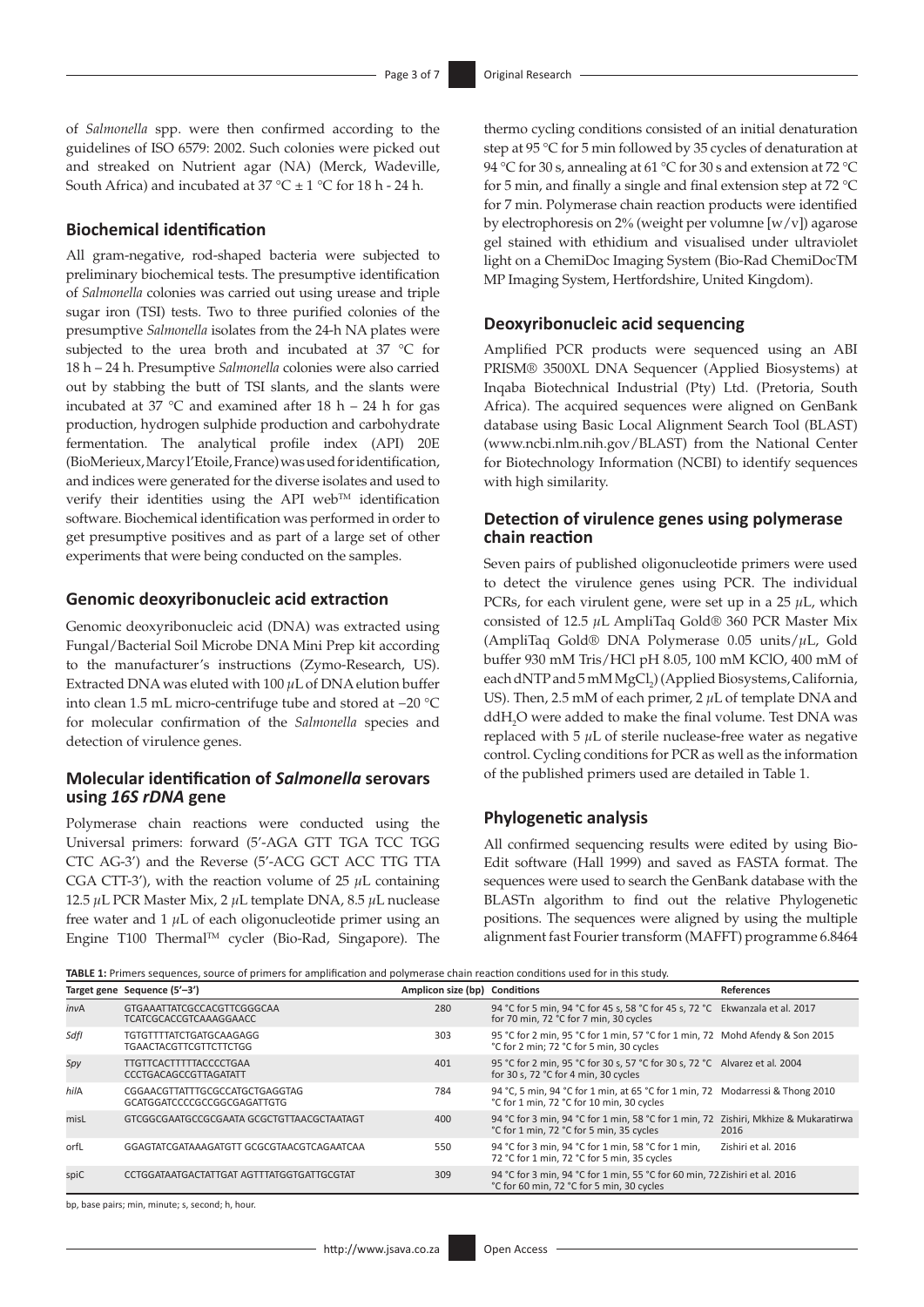of *Salmonella* spp. were then confirmed according to the guidelines of ISO 6579: 2002. Such colonies were picked out and streaked on Nutrient agar (NA) (Merck, Wadeville, South Africa) and incubated at  $37^{\circ}$ C  $\pm$  1  $^{\circ}$ C for 18 h - 24 h.

#### **Biochemical identification**

All gram-negative, rod-shaped bacteria were subjected to preliminary biochemical tests. The presumptive identification of *Salmonella* colonies was carried out using urease and triple sugar iron (TSI) tests. Two to three purified colonies of the presumptive *Salmonella* isolates from the 24-h NA plates were subjected to the urea broth and incubated at 37 °C for 18 h – 24 h. Presumptive *Salmonella* colonies were also carried out by stabbing the butt of TSI slants, and the slants were incubated at 37  $\degree$ C and examined after 18 h – 24 h for gas production, hydrogen sulphide production and carbohydrate fermentation. The analytical profile index (API) 20E (BioMerieux, Marcy l'Etoile, France) was used for identification, and indices were generated for the diverse isolates and used to verify their identities using the API webTM identification software. Biochemical identification was performed in order to get presumptive positives and as part of a large set of other experiments that were being conducted on the samples.

#### **Genomic deoxyribonucleic acid extraction**

Genomic deoxyribonucleic acid (DNA) was extracted using Fungal/Bacterial Soil Microbe DNA Mini Prep kit according to the manufacturer's instructions (Zymo-Research, US). Extracted DNA was eluted with 100 *µ*L of DNA elution buffer into clean 1.5 mL micro-centrifuge tube and stored at −20 °C for molecular confirmation of the *Salmonella* species and detection of virulence genes.

### **Molecular identification of** *Salmonella* **serovars using** *16S rDNA* **gene**

Polymerase chain reactions were conducted using the Universal primers: forward (5'-AGA GTT TGA TCC TGG CTC AG-3') and the Reverse (5'-ACG GCT ACC TTG TTA CGA CTT-3'), with the reaction volume of  $25 \mu L$  containing 12.5 *µ*L PCR Master Mix, 2 *µ*L template DNA, 8.5 *µ*L nuclease free water and  $1 \mu$ L of each oligonucleotide primer using an Engine T100 ThermalTM cycler (Bio-Rad, Singapore). The

thermo cycling conditions consisted of an initial denaturation step at 95 °C for 5 min followed by 35 cycles of denaturation at 94 °C for 30 s, annealing at 61 °C for 30 s and extension at 72 °C for 5 min, and finally a single and final extension step at 72 °C for 7 min. Polymerase chain reaction products were identified by electrophoresis on 2% (weight per volumne [w/v]) agarose gel stained with ethidium and visualised under ultraviolet light on a ChemiDoc Imaging System (Bio-Rad ChemiDocTM MP Imaging System, Hertfordshire, United Kingdom).

#### **Deoxyribonucleic acid sequencing**

Amplified PCR products were sequenced using an ABI PRISM® 3500XL DNA Sequencer (Applied Biosystems) at Inqaba Biotechnical Industrial (Pty) Ltd. (Pretoria, South Africa). The acquired sequences were aligned on GenBank database using Basic Local Alignment Search Tool (BLAST) ([www.ncbi.nlm.nih.gov/BLAST\)](www.ncbi.nlm.nih.gov/BLAST) from the National Center for Biotechnology Information (NCBI) to identify sequences with high similarity.

#### **Detection of virulence genes using polymerase chain reaction**

Seven pairs of published oligonucleotide primers were used to detect the virulence genes using PCR. The individual PCRs, for each virulent gene, were set up in a 25 *µ*L, which consisted of 12.5 *µ*L AmpliTaq Gold® 360 PCR Master Mix (AmpliTaq Gold® DNA Polymerase 0.05 units/*µ*L, Gold buffer 930 mM Tris/HCl pH 8.05, 100 mM KClO, 400 mM of each dNTP and 5 mM MgCl<sub>2</sub>) (Applied Biosystems, California, US). Then, 2.5 mM of each primer, 2  $\mu$ L of template DNA and ddH<sub>2</sub>O were added to make the final volume. Test DNA was replaced with 5 *µ*L of sterile nuclease-free water as negative control. Cycling conditions for PCR as well as the information of the published primers used are detailed in Table 1.

#### **Phylogenetic analysis**

All confirmed sequencing results were edited by using Bio-Edit software (Hall 1999) and saved as FASTA format. The sequences were used to search the GenBank database with the BLASTn algorithm to find out the relative Phylogenetic positions. The sequences were aligned by using the multiple alignment fast Fourier transform (MAFFT) programme 6.8464

**TABLE 1:** Primers sequences, source of primers for amplification and polymerase chain reaction conditions used for in this study.

|      | Target gene Sequence (5'-3')                                    | Amplicon size (bp) Conditions |                                                                                                                                 | References          |  |  |  |
|------|-----------------------------------------------------------------|-------------------------------|---------------------------------------------------------------------------------------------------------------------------------|---------------------|--|--|--|
| invA | GTGAAATTATCGCCACGTTCGGGCAA<br><b>TCATCGCACCGTCAAAGGAACC</b>     | 280                           | 94 °C for 5 min, 94 °C for 45 s, 58 °C for 45 s, 72 °C Ekwanzala et al. 2017<br>for 70 min, 72 °C for 7 min, 30 cycles          |                     |  |  |  |
| SdfI | <b>TGTGTTTTATCTGATGCAAGAGG</b><br><b>TGAACTACGTTCGTTCTTCTGG</b> | 303                           | 95 °C for 2 min, 95 °C for 1 min, 57 °C for 1 min, 72 Mohd Afendy & Son 2015<br>°C for 2 min; 72 °C for 5 min, 30 cycles        |                     |  |  |  |
| Spy  | <b>TTGTTCACTTTTTACCCCTGAA</b><br><b>CCCTGACAGCCGTTAGATATT</b>   | 401                           | 95 °C for 2 min, 95 °C for 30 s, 57 °C for 30 s, 72 °C Alvarez et al. 2004<br>for 30 s, 72 °C for 4 min, 30 cycles              |                     |  |  |  |
| hilA | CGGAACGTTATTTGCGCCATGCTGAGGTAG<br>GCATGGATCCCCGCCGGCGAGATTGTG   | 784                           | 94 °C, 5 min, 94 °C for 1 min, at 65 °C for 1 min, 72 Modarressi & Thong 2010<br>°C for 1 min, 72 °C for 10 min, 30 cycles      |                     |  |  |  |
| misL | GTCGGCGAATGCCGCGAATA GCGCTGTTAACGCTAATAGT                       | 400                           | 94 °C for 3 min, 94 °C for 1 min, 58 °C for 1 min, 72 Zishiri, Mkhize & Mukaratirwa<br>°C for 1 min, 72 °C for 5 min, 35 cycles | 2016                |  |  |  |
| orfL | GGAGTATCGATAAAGATGTT GCGCGTAACGTCAGAATCAA                       | 550                           | 94 °C for 3 min, 94 °C for 1 min, 58 °C for 1 min,<br>72 °C for 1 min, 72 °C for 5 min, 35 cycles                               | Zishiri et al. 2016 |  |  |  |
| spiC | CCTGGATAATGACTATTGAT AGTTTATGGTGATTGCGTAT                       | 309                           | 94 °C for 3 min, 94 °C for 1 min, 55 °C for 60 min, 72 Zishiri et al. 2016<br>°C for 60 min, 72 °C for 5 min, 30 cycles         |                     |  |  |  |

bp, base pairs; min, minute; s, second; h, hour.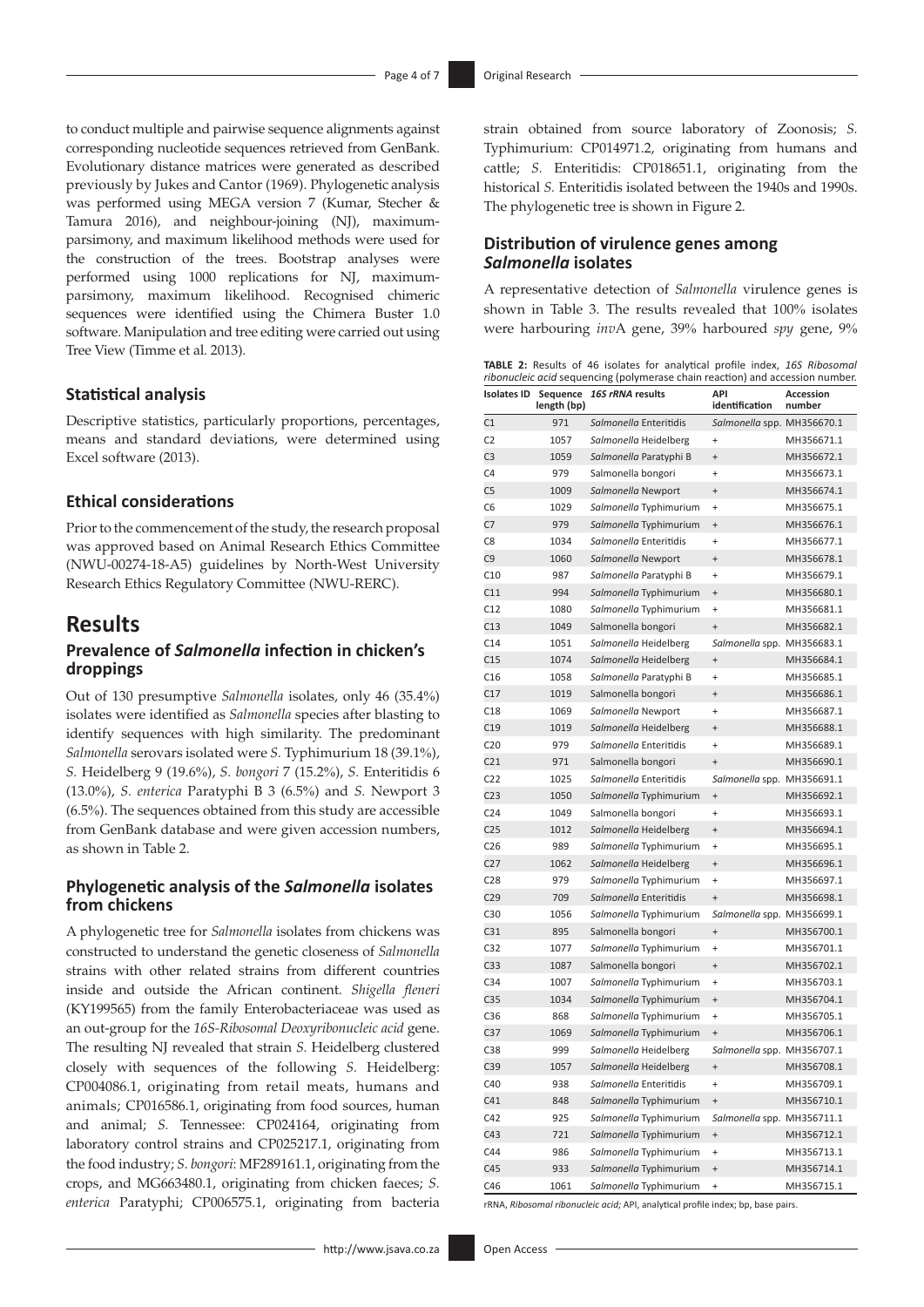to conduct multiple and pairwise sequence alignments against corresponding nucleotide sequences retrieved from GenBank. Evolutionary distance matrices were generated as described previously by Jukes and Cantor (1969). Phylogenetic analysis was performed using MEGA version 7 (Kumar, Stecher & Tamura 2016), and neighbour-joining (NJ), maximumparsimony, and maximum likelihood methods were used for the construction of the trees. Bootstrap analyses were performed using 1000 replications for NJ, maximumparsimony, maximum likelihood. Recognised chimeric sequences were identified using the Chimera Buster 1.0 software. Manipulation and tree editing were carried out using Tree View (Timme et al*.* 2013).

#### **Statistical analysis**

Descriptive statistics, particularly proportions, percentages, means and standard deviations, were determined using Excel software (2013).

#### **Ethical considerations**

Prior to the commencement of the study, the research proposal was approved based on Animal Research Ethics Committee (NWU-00274-18-A5) guidelines by North-West University Research Ethics Regulatory Committee (NWU-RERC).

### **Results**

### **Prevalence of** *Salmonella* **infection in chicken's droppings**

Out of 130 presumptive *Salmonella* isolates, only 46 (35.4%) isolates were identified as *Salmonella* species after blasting to identify sequences with high similarity. The predominant *Salmonella* serovars isolated were *S.* Typhimurium 18 (39.1%), *S.* Heidelberg 9 (19.6%), *S. bongori* 7 (15.2%), *S.* Enteritidis 6 (13.0%), *S. enterica* Paratyphi B 3 (6.5%) and *S.* Newport 3 (6.5%). The sequences obtained from this study are accessible from GenBank database and were given accession numbers, as shown in Table 2.

#### **Phylogenetic analysis of the** *Salmonella* **isolates from chickens**

A phylogenetic tree for *Salmonella* isolates from chickens was constructed to understand the genetic closeness of *Salmonella* strains with other related strains from different countries inside and outside the African continent. *Shigella fleneri*  (KY199565) from the family Enterobacteriaceae was used as an out-group for the *16S-Ribosomal Deoxyribonucleic acid* gene. The resulting NJ revealed that strain *S.* Heidelberg clustered closely with sequences of the following *S.* Heidelberg: CP004086.1, originating from retail meats, humans and animals; CP016586.1, originating from food sources, human and animal; *S.* Tennessee: CP024164, originating from laboratory control strains and CP025217.1, originating from the food industry; *S. bongori*: MF289161.1, originating from the crops, and MG663480.1, originating from chicken faeces; *S. enterica* Paratyphi; CP006575.1, originating from bacteria

strain obtained from source laboratory of Zoonosis; *S.*  Typhimurium: CP014971.2, originating from humans and cattle; *S.* Enteritidis: CP018651.1, originating from the historical *S.* Enteritidis isolated between the 1940s and 1990s. The phylogenetic tree is shown in Figure 2.

#### **Distribution of virulence genes among**  *Salmonella* **isolates**

A representative detection of *Salmonella* virulence genes is shown in Table 3. The results revealed that 100% isolates were harbouring *inv*A gene, 39% harboured *spy* gene, 9%

|  |  |  |  |  | TABLE 2: Results of 46 isolates for analytical profile index, 16S Ribosomal   |
|--|--|--|--|--|-------------------------------------------------------------------------------|
|  |  |  |  |  | ribonucleic acid sequencing (polymerase chain reaction) and accession number. |

| <b>Isolates ID</b> | Sequence<br>length (bp) | 16S rRNA results       | API<br>identification            | Accession<br>number |
|--------------------|-------------------------|------------------------|----------------------------------|---------------------|
| C1                 | 971                     | Salmonella Enteritidis | Salmonella spp. MH356670.1       |                     |
| C <sub>2</sub>     | 1057                    | Salmonella Heidelberg  | $\ddot{}$                        | MH356671.1          |
| C <sub>3</sub>     | 1059                    | Salmonella Paratyphi B | $\ddot{}$                        | MH356672.1          |
| C <sub>4</sub>     | 979                     | Salmonella bongori     | $+$                              | MH356673.1          |
| C <sub>5</sub>     | 1009                    | Salmonella Newport     | $^{+}$                           | MH356674.1          |
| C <sub>6</sub>     | 1029                    | Salmonella Typhimurium | $\ddot{}$                        | MH356675.1          |
| C7                 | 979                     | Salmonella Typhimurium | $\ddot{}$                        | MH356676.1          |
| C <sub>8</sub>     | 1034                    | Salmonella Enteritidis | $\ddot{}$                        | MH356677.1          |
| C9                 | 1060                    | Salmonella Newport     | $^{+}$                           | MH356678.1          |
| C10                | 987                     | Salmonella Paratyphi B | $\ddot{}$                        | MH356679.1          |
| C11                | 994                     | Salmonella Typhimurium | $\ddot{}$                        | MH356680.1          |
| C12                | 1080                    | Salmonella Typhimurium | $\ddot{}$                        | MH356681.1          |
| C13                | 1049                    | Salmonella bongori     | $\ddot{}$                        | MH356682.1          |
| C14                | 1051                    | Salmonella Heidelberg  | Salmonella spp. MH356683.1       |                     |
| C15                | 1074                    | Salmonella Heidelberg  | $^{+}$                           | MH356684.1          |
| C16                | 1058                    | Salmonella Paratyphi B | $\ddot{}$                        | MH356685.1          |
| C17                | 1019                    | Salmonella bongori     | $\ddot{}$                        | MH356686.1          |
| C18                | 1069                    | Salmonella Newport     | $+$                              | MH356687.1          |
| C19                | 1019                    | Salmonella Heidelberg  | $\ddot{}$                        | MH356688.1          |
| C <sub>20</sub>    | 979                     | Salmonella Enteritidis | $\ddot{}$                        | MH356689.1          |
| C <sub>21</sub>    | 971                     | Salmonella bongori     | $\ddot{+}$                       | MH356690.1          |
| C <sub>22</sub>    | 1025                    | Salmonella Enteritidis | Salmonella spp. MH356691.1       |                     |
| C <sub>23</sub>    | 1050                    | Salmonella Typhimurium | $^{+}$                           | MH356692.1          |
| C <sub>24</sub>    | 1049                    | Salmonella bongori     | $\ddot{}$                        | MH356693.1          |
| C <sub>25</sub>    | 1012                    | Salmonella Heidelberg  | $\ddot{}$                        | MH356694.1          |
| C <sub>26</sub>    | 989                     | Salmonella Typhimurium | $\ddot{}$                        | MH356695.1          |
| C <sub>27</sub>    | 1062                    | Salmonella Heidelberg  | $^{+}$                           | MH356696.1          |
| C <sub>28</sub>    | 979                     | Salmonella Typhimurium | $\ddot{}$                        | MH356697.1          |
| C29                | 709                     | Salmonella Enteritidis | $^{+}$                           | MH356698.1          |
| C30                | 1056                    | Salmonella Typhimurium | Salmonella spp. MH356699.1       |                     |
| C <sub>31</sub>    | 895                     | Salmonella bongori     | $\ddot{}$                        | MH356700.1          |
| C <sub>32</sub>    | 1077                    | Salmonella Typhimurium | $\ddot{}$                        | MH356701.1          |
| C33                | 1087                    | Salmonella bongori     | $^{+}$                           | MH356702.1          |
| C <sub>34</sub>    | 1007                    | Salmonella Typhimurium | $\ddot{}$                        | MH356703.1          |
| C35                | 1034                    | Salmonella Typhimurium | $\ddot{}$                        | MH356704.1          |
| C36                | 868                     | Salmonella Typhimurium | $\ddot{}$                        | MH356705.1          |
| C <sub>37</sub>    | 1069                    | Salmonella Typhimurium | $\begin{array}{c} + \end{array}$ | MH356706.1          |
| C38                | 999                     | Salmonella Heidelberg  | Salmonella spp. MH356707.1       |                     |
| C39                | 1057                    | Salmonella Heidelberg  | $\begin{array}{c} + \end{array}$ | MH356708.1          |
| C40                | 938                     | Salmonella Enteritidis | $\ddot{}$                        | MH356709.1          |
| C41                | 848                     | Salmonella Typhimurium | $\ddot{}$                        | MH356710.1          |
| C42                | 925                     | Salmonella Typhimurium | Salmonella spp. MH356711.1       |                     |
| C43                | 721                     | Salmonella Typhimurium | $\ddot{}$                        | MH356712.1          |
| C44                | 986                     | Salmonella Typhimurium | $\ddot{}$                        | MH356713.1          |
| C45                | 933                     | Salmonella Typhimurium | $\ddot{}$                        | MH356714.1          |
| C46                | 1061                    | Salmonella Typhimurium | $\ddot{}$                        | MH356715.1          |

rRNA, *Ribosomal ribonucleic acid;* API, analytical profile index; bp, base pairs.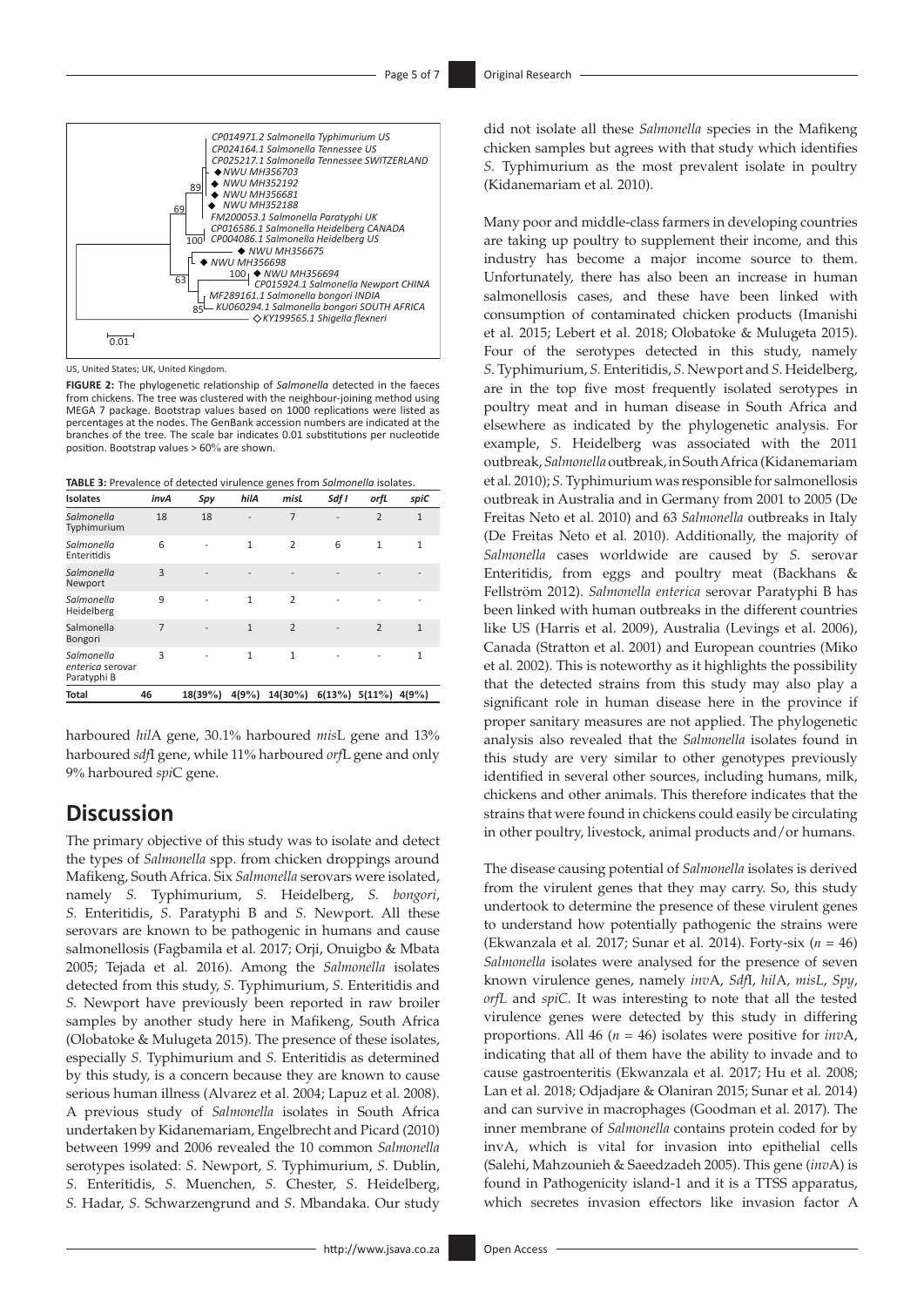

US, United States; UK, United Kingdom.

**FIGURE 2:** The phylogenetic relationship of *Salmonella* detected in the faeces from chickens. The tree was clustered with the neighbour-joining method using MEGA 7 package. Bootstrap values based on 1000 replications were listed as percentages at the nodes. The GenBank accession numbers are indicated at the branches of the tree. The scale bar indicates 0.01 substitutions per nucleotide position. Bootstrap values > 60% are shown.

**TABLE 3:** Prevalence of detected virulence genes from *Salmonella* isolates.

| <b>Isolates</b>                               | invA           | Spy                      | hilA         | misL                           | Sdf I | orfL           | spiC         |
|-----------------------------------------------|----------------|--------------------------|--------------|--------------------------------|-------|----------------|--------------|
| Salmonella<br>Typhimurium                     | 18             | 18                       |              | $\overline{7}$                 |       | $\overline{2}$ | $\mathbf{1}$ |
| Salmonella<br>Enteritidis                     | 6              | $\overline{\phantom{0}}$ | $\mathbf{1}$ | $\overline{2}$                 | 6     | $\mathbf{1}$   | $\mathbf{1}$ |
| Salmonella<br>Newport                         | 3              | $\overline{a}$           |              |                                |       |                |              |
| Salmonella<br>Heidelberg                      | 9              | L,                       | $\mathbf{1}$ | $\overline{2}$                 |       |                |              |
| Salmonella<br>Bongori                         | $\overline{7}$ |                          | $\mathbf{1}$ | $\overline{2}$                 |       | $\overline{2}$ | $\mathbf{1}$ |
| Salmonella<br>enterica serovar<br>Paratyphi B | 3              |                          | 1            | $\mathbf{1}$                   |       |                | 1            |
| <b>Total</b>                                  | 46             | 18(39%)                  | 4(9%)        | $14(30\%)$ 6(13%) 5(11%) 4(9%) |       |                |              |
|                                               |                |                          |              |                                |       |                |              |

harboured *hil*A gene, 30.1% harboured *mis*L gene and 13% harboured *sdf*I gene, while 11% harboured *orf*L gene and only 9% harboured *spi*C gene.

# **Discussion**

The primary objective of this study was to isolate and detect the types of *Salmonella* spp. from chicken droppings around Mafikeng, South Africa. Six *Salmonella* serovars were isolated, namely *S.* Typhimurium, *S.* Heidelberg, *S. bongori*, *S.* Enteritidis, *S.* Paratyphi B and *S.* Newport. All these serovars are known to be pathogenic in humans and cause salmonellosis (Fagbamila et al*.* 2017; Orji, Onuigbo & Mbata 2005; Tejada et al*.* 2016). Among the *Salmonella* isolates detected from this study, *S.* Typhimurium, *S.* Enteritidis and *S.* Newport have previously been reported in raw broiler samples by another study here in Mafikeng, South Africa (Olobatoke & Mulugeta 2015). The presence of these isolates, especially *S.* Typhimurium and *S.* Enteritidis as determined by this study, is a concern because they are known to cause serious human illness (Alvarez et al. 2004; Lapuz et al*.* 2008). A previous study of *Salmonella* isolates in South Africa undertaken by Kidanemariam, Engelbrecht and Picard (2010) between 1999 and 2006 revealed the 10 common *Salmonella* serotypes isolated: *S.* Newport, *S.* Typhimurium, *S.* Dublin, *S*. Enteritidis, *S.* Muenchen, *S.* Chester, *S*. Heidelberg, *S.* Hadar, *S.* Schwarzengrund and *S*. Mbandaka. Our study

did not isolate all these *Salmonella* species in the Mafikeng chicken samples but agrees with that study which identifies *S.* Typhimurium as the most prevalent isolate in poultry (Kidanemariam et al*.* 2010).

Many poor and middle-class farmers in developing countries are taking up poultry to supplement their income, and this industry has become a major income source to them. Unfortunately, there has also been an increase in human salmonellosis cases, and these have been linked with consumption of contaminated chicken products (Imanishi et al*.* 2015; Lebert et al*.* 2018; Olobatoke & Mulugeta 2015). Four of the serotypes detected in this study, namely *S.* Typhimurium, *S.* Enteritidis, *S.* Newport and *S.* Heidelberg, are in the top five most frequently isolated serotypes in poultry meat and in human disease in South Africa and elsewhere as indicated by the phylogenetic analysis. For example, *S.* Heidelberg was associated with the 2011 outbreak, *Salmonella* outbreak, in South Africa (Kidanemariam et al*.* 2010); *S.* Typhimurium was responsible for salmonellosis outbreak in Australia and in Germany from 2001 to 2005 (De Freitas Neto et al*.* 2010) and 63 *Salmonella* outbreaks in Italy (De Freitas Neto et al*.* 2010). Additionally, the majority of *Salmonella* cases worldwide are caused by *S.* serovar Enteritidis, from eggs and poultry meat (Backhans & Fellström 2012). *Salmonella enterica* serovar Paratyphi B has been linked with human outbreaks in the different countries like US (Harris et al. 2009), Australia (Levings et al. 2006), Canada (Stratton et al. 2001) and European countries (Miko et al. 2002). This is noteworthy as it highlights the possibility that the detected strains from this study may also play a significant role in human disease here in the province if proper sanitary measures are not applied. The phylogenetic analysis also revealed that the *Salmonella* isolates found in this study are very similar to other genotypes previously identified in several other sources, including humans, milk, chickens and other animals. This therefore indicates that the strains that were found in chickens could easily be circulating in other poultry, livestock, animal products and/or humans.

The disease causing potential of *Salmonella* isolates is derived from the virulent genes that they may carry. So, this study undertook to determine the presence of these virulent genes to understand how potentially pathogenic the strains were (Ekwanzala et al*.* 2017; Sunar et al*.* 2014). Forty-six (*n* = 46) *Salmonella* isolates were analysed for the presence of seven known virulence genes, namely *inv*A, *Sdf*I, *hil*A, *misL*, *Spy*, *orfL* and *spiC*. It was interesting to note that all the tested virulence genes were detected by this study in differing proportions. All 46 (*n* = 46) isolates were positive for *inv*A, indicating that all of them have the ability to invade and to cause gastroenteritis (Ekwanzala et al*.* 2017; Hu et al*.* 2008; Lan et al*.* 2018; Odjadjare & Olaniran 2015; Sunar et al*.* 2014) and can survive in macrophages (Goodman et al*.* 2017). The inner membrane of *Salmonella* contains protein coded for by invA, which is vital for invasion into epithelial cells (Salehi, Mahzounieh & Saeedzadeh 2005). This gene (*inv*A) is found in Pathogenicity island-1 and it is a TTSS apparatus, which secretes invasion effectors like invasion factor A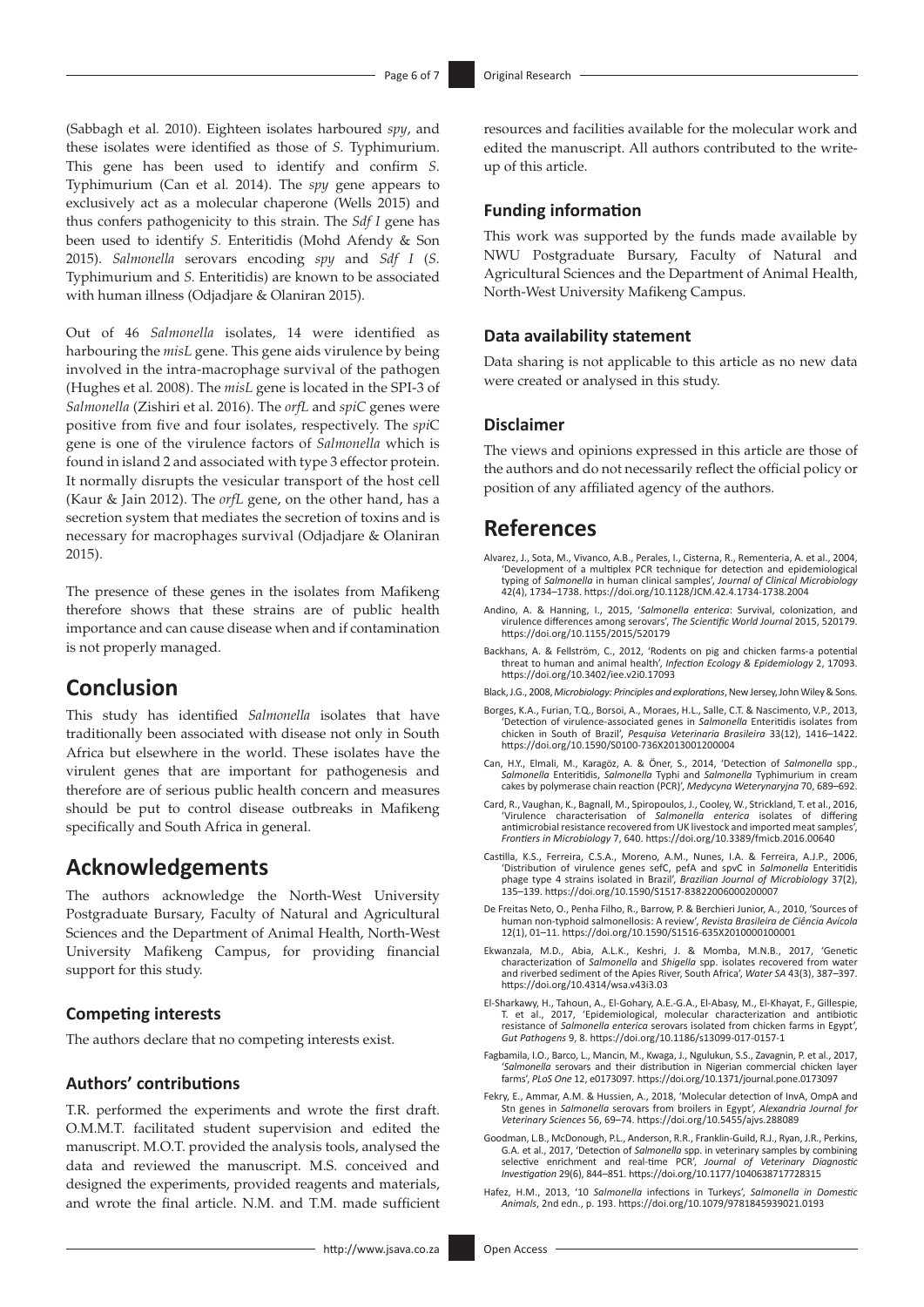(Sabbagh et al*.* 2010). Eighteen isolates harboured *spy*, and these isolates were identified as those of *S.* Typhimurium. This gene has been used to identify and confirm *S.*  Typhimurium (Can et al*.* 2014). The *spy* gene appears to exclusively act as a molecular chaperone (Wells 2015) and thus confers pathogenicity to this strain. The *Sdf I* gene has been used to identify *S.* Enteritidis (Mohd Afendy & Son 2015). *Salmonella* serovars encoding *spy* and *Sdf I* (*S.*  Typhimurium and *S.* Enteritidis) are known to be associated with human illness (Odjadjare & Olaniran 2015).

Out of 46 *Salmonella* isolates, 14 were identified as harbouring the *misL* gene. This gene aids virulence by being involved in the intra-macrophage survival of the pathogen (Hughes et al*.* 2008). The *misL* gene is located in the SPI-3 of *Salmonella* (Zishiri et al. 2016). The *orfL* and *spiC* genes were positive from five and four isolates, respectively. The *spi*C gene is one of the virulence factors of *Salmonella* which is found in island 2 and associated with type 3 effector protein. It normally disrupts the vesicular transport of the host cell (Kaur & Jain 2012). The *orfL* gene, on the other hand, has a secretion system that mediates the secretion of toxins and is necessary for macrophages survival (Odjadjare & Olaniran 2015).

The presence of these genes in the isolates from Mafikeng therefore shows that these strains are of public health importance and can cause disease when and if contamination is not properly managed.

# **Conclusion**

This study has identified *Salmonella* isolates that have traditionally been associated with disease not only in South Africa but elsewhere in the world. These isolates have the virulent genes that are important for pathogenesis and therefore are of serious public health concern and measures should be put to control disease outbreaks in Mafikeng specifically and South Africa in general.

## **Acknowledgements**

The authors acknowledge the North-West University Postgraduate Bursary, Faculty of Natural and Agricultural Sciences and the Department of Animal Health, North-West University Mafikeng Campus, for providing financial support for this study.

#### **Competing interests**

The authors declare that no competing interests exist.

#### **Authors' contributions**

T.R. performed the experiments and wrote the first draft. O.M.M.T. facilitated student supervision and edited the manuscript. M.O.T. provided the analysis tools, analysed the data and reviewed the manuscript. M.S. conceived and designed the experiments, provided reagents and materials, and wrote the final article. N.M. and T.M. made sufficient resources and facilities available for the molecular work and edited the manuscript. All authors contributed to the writeup of this article.

#### **Funding information**

This work was supported by the funds made available by NWU Postgraduate Bursary, Faculty of Natural and Agricultural Sciences and the Department of Animal Health, North-West University Mafikeng Campus.

#### **Data availability statement**

Data sharing is not applicable to this article as no new data were created or analysed in this study.

#### **Disclaimer**

The views and opinions expressed in this article are those of the authors and do not necessarily reflect the official policy or position of any affiliated agency of the authors.

## **References**

- Alvarez, J., Sota, M., Vivanco, A.B., Perales, I., Cisterna, R., Rementeria, A. et al., 2004, 'Development of a multiplex PCR technique for detection and epidemiological typing of *Salmonella* in human clinical samples', *Journal of Clinical Microbiology* 42(4), 1734–1738. <https://doi.org/10.1128/JCM.42.4.1734-1738.2004>
- Andino, A. & Hanning, I., 2015, '*Salmonella enterica*: Survival, colonization, and virulence differences among serovars', *The Scientific World Journal* 2015, 520179. <https://doi.org/10.1155/2015/520179>
- Backhans, A. & Fellström, C., 2012, 'Rodents on pig and chicken farms-a potential threat to human and animal health', *Infection Ecology & Epidemiology* 2, 17093. <https://doi.org/10.3402/iee.v2i0.17093>
- Black, J.G., 2008, *Microbiology: Principles and explorations*, New Jersey, John Wiley & Sons.
- Borges, K.A., Furian, T.Q., Borsoi, A., Moraes, H.L., Salle, C.T. & Nascimento, V.P., 2013, 'Detection of virulence-associated genes in *Salmonella* Enteritidis isolates from chicken in South of Brazil', *Pesquisa Veterinaria Brasileira* 33(12), 1416–1422. <https://doi.org/10.1590/S0100-736X2013001200004>
- Can, H.Y., Elmali, M., Karagöz, A. & Öner, S., 2014, 'Detection of *Salmonella* spp., *Salmonella* Enteritidis, *Salmonella* Typhi and *Salmonella* Typhimurium in cream cakes by polymerase chain reaction (PCR)', *Medycyna Weterynaryjna* 70, 689–692.
- Card, R., Vaughan, K., Bagnall, M., Spiropoulos, J., Cooley, W., Strickland, T. et al., 2016, 'Virulence characterisation of *Salmonella enterica* isolates of differing antimicrobial resistance recovered from UK livestock and imported meat samples', *Frontiers in Microbiology* 7, 640.<https://doi.org/10.3389/fmicb.2016.00640>
- Castilla, K.S., Ferreira, C.S.A., Moreno, A.M., Nunes, I.A. & Ferreira, A.J.P., 2006, 'Distribution of virulence genes sefC, pefA and spvC in *Salmonella* Enteritidis phage type 4 strains isolated in Brazil', *Brazilian Journal of Microbiology* 37(2), 135–139.<https://doi.org/10.1590/S1517-83822006000200007>
- De Freitas Neto, O., Penha Filho, R., Barrow, P. & Berchieri Junior, A., 2010, 'Sources of human non-typhoid salmonellosis: A review', *Revista Brasileira de Ciência Avícola* 12(1), 01–11.<https://doi.org/10.1590/S1516-635X2010000100001>
- Ekwanzala, M.D., Abia, A.L.K., Keshri, J. & Momba, M.N.B., 2017, 'Genetic characterization of *Salmonella* and *Shigella* spp. isolates recovered from water and riverbed sediment of the Apies River, South Africa', *Water SA* 43(3), 387–397. <https://doi.org/10.4314/wsa.v43i3.03>
- El-Sharkawy, H., Tahoun, A., El-Gohary, A.E.-G.A., El-Abasy, M., El-Khayat, F., Gillespie, T. et al., 2017, 'Epidemiological, molecular characterization and antibiotic resistance of *Salmonella enterica* serovars isolated from chicken farms in Egypt', *Gut Pathogens* 9, 8.<https://doi.org/10.1186/s13099-017-0157-1>
- Fagbamila, I.O., Barco, L., Mancin, M., Kwaga, J., Ngulukun, S.S., Zavagnin, P. et al., 2017, '*Salmonella* serovars and their distribution in Nigerian commercial chicken layer farms', *PLoS One* 12, e0173097. <https://doi.org/10.1371/journal.pone.0173097>
- Fekry, E., Ammar, A.M. & Hussien, A., 2018, 'Molecular detection of InvA, OmpA and Stn genes in *Salmonella* serovars from broilers in Egypt', *Alexandria Journal for Veterinary Sciences* 56, 69–74. <https://doi.org/10.5455/ajvs.288089>
- Goodman, L.B., McDonough, P.L., Anderson, R.R., Franklin-Guild, R.J., Ryan, J.R., Perkins, G.A. et al., 2017, 'Detection of *Salmonella* spp. in veterinary samples by combining selective enrichment and real-time PCR', *Journal of Veterinary Diagnostic Investigation* 29(6), 844–851.<https://doi.org/10.1177/1040638717728315>
- Hafez, H.M., 2013, '10 *Salmonella* infections in Turkeys', *Salmonella in Domestic Animals*, 2nd edn., p. 193. <https://doi.org/10.1079/9781845939021.0193>